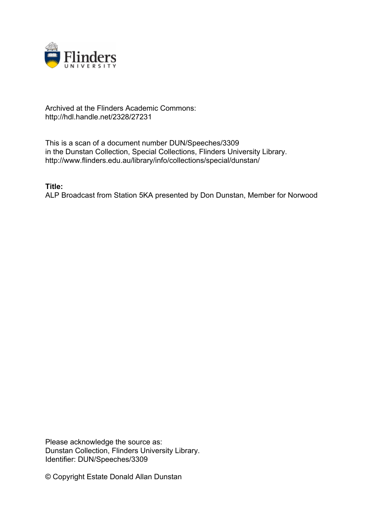

## Archived at the Flinders Academic Commons: http://hdl.handle.net/2328/27231

This is a scan of a document number DUN/Speeches/3309 in the Dunstan Collection, Special Collections, Flinders University Library. http://www.flinders.edu.au/library/info/collections/special/dunstan/

**Title:**

ALP Broadcast from Station 5KA presented by Don Dunstan, Member for Norwood

Please acknowledge the source as: Dunstan Collection, Flinders University Library. Identifier: DUN/Speeches/3309

© Copyright Estate Donald Allan Dunstan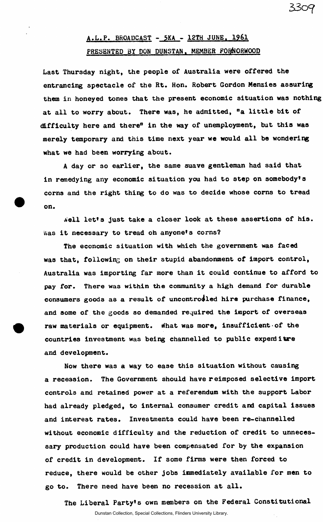## A.L.P. BROADCAST - 5KA - 12TH JUNE. 1961 PRESENTED BY DON DUNSTAN. MEMBER FOFNORWOOD

**33o<?** 

Last Thursday night, the people of Australia were offered the entrancing spectacle of the Rt. Hon. Robert Gordon Menzies assuring them in honeyed tones that the present economic situation was nothing at all to worry about. There was, he admitted, "a little bit of difficulty here and there" in the way of unemployment, but this was merely temporary and this time next year we would all be wondering what we had been worrying about.

A day or 30 earlier, the same suave gentleman had said that in remedying any economic situation you had to step on somebody's corns and the right thing to do was to decide whose corns to tread on.

Aell let's just take a closer look at these assertions of his. Was it necessary to tread oh anyone's corns?

The economic situation with which the government was faced was that, following on their stupid abandonment of import control, Australia was importing far more than it could continue to afford to pay for. There was within the community a high demand for durable consumers goods as a result of uncontrodled hire purchase finance, and some of the goods so demanded required the import of overseas raw materials or equipment. What was more, insufficient of the countries investment was being channelled to public expend itre and development.

Now there was a way to ease this situation without causing a recession. The Government should have reimposed selective import controls and retained power at a referendum with the support Labor had already pledged, to internal consumer credit and capital issues and interest rates. Investments could have been re-channelled without economic difficulty and the reduction of credit to unnecessary production could have been compensated for by the expansion of credit in development. If some firms were then forced to reduce, there would be other jobs immediately available for men to go to. There need have been no recession at all.

The Liberal Party's own members on the Federal Constitutional